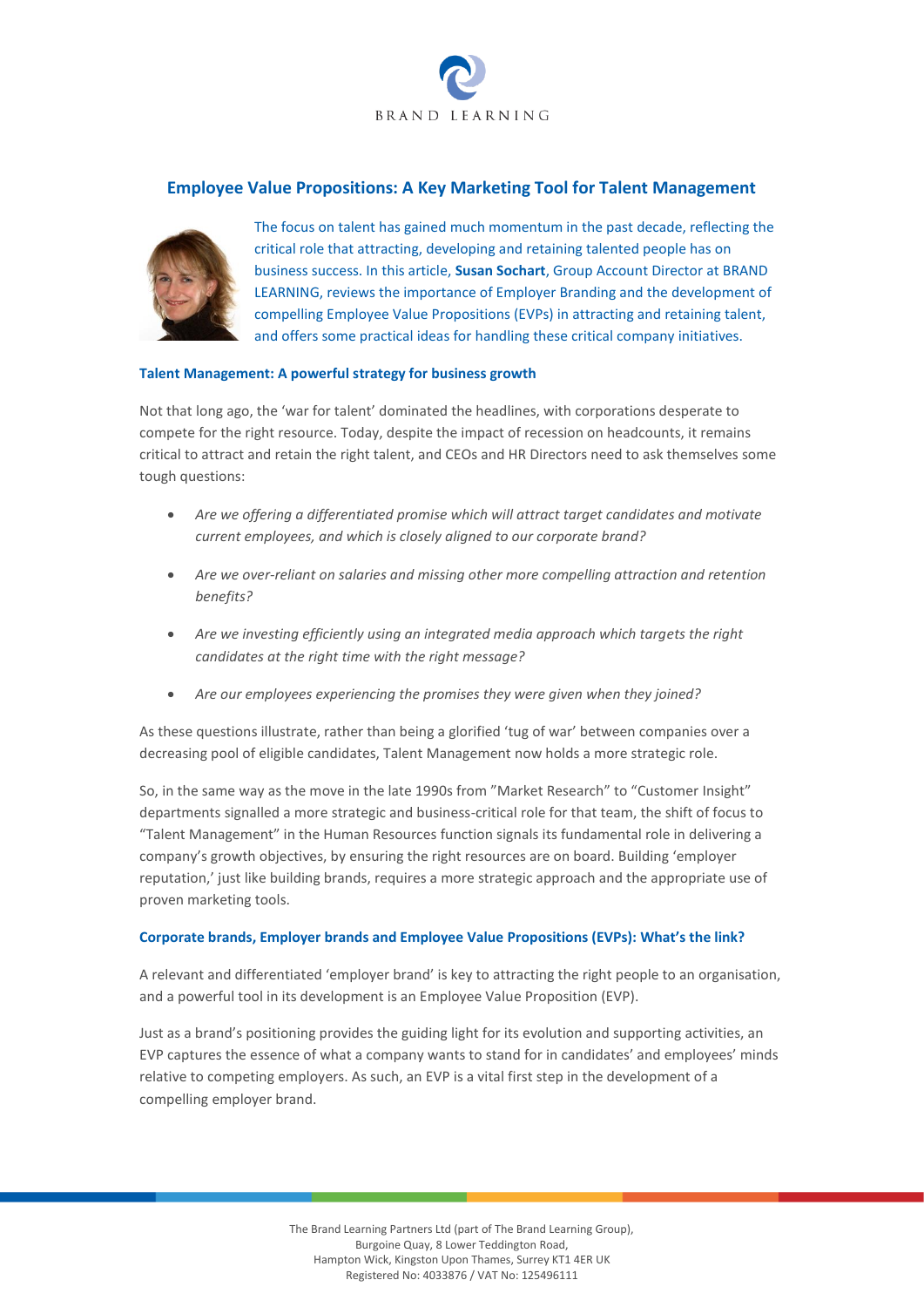

# **Employee Value Propositions: A Key Marketing Tool for Talent Management**



The focus on talent has gained much momentum in the past decade, reflecting the critical role that attracting, developing and retaining talented people has on business success. In this article, **Susan Sochart**, Group Account Director at BRAND LEARNING, reviews the importance of Employer Branding and the development of compelling Employee Value Propositions (EVPs) in attracting and retaining talent, and offers some practical ideas for handling these critical company initiatives.

## **Talent Management: A powerful strategy for business growth**

Not that long ago, the 'war for talent' dominated the headlines, with corporations desperate to compete for the right resource. Today, despite the impact of recession on headcounts, it remains critical to attract and retain the right talent, and CEOs and HR Directors need to ask themselves some tough questions:

- *Are we offering a differentiated promise which will attract target candidates and motivate current employees, and which is closely aligned to our corporate brand?*
- *Are we over-reliant on salaries and missing other more compelling attraction and retention benefits?*
- *Are we investing efficiently using an integrated media approach which targets the right candidates at the right time with the right message?*
- *Are our employees experiencing the promises they were given when they joined?*

As these questions illustrate, rather than being a glorified 'tug of war' between companies over a decreasing pool of eligible candidates, Talent Management now holds a more strategic role.

So, in the same way as the move in the late 1990s from "Market Research" to "Customer Insight" departments signalled a more strategic and business-critical role for that team, the shift of focus to "Talent Management" in the Human Resources function signals its fundamental role in delivering a company's growth objectives, by ensuring the right resources are on board. Building 'employer reputation,' just like building brands, requires a more strategic approach and the appropriate use of proven marketing tools.

## **Corporate brands, Employer brands and Employee Value Propositions (EVPs): What's the link?**

A relevant and differentiated 'employer brand' is key to attracting the right people to an organisation, and a powerful tool in its development is an Employee Value Proposition (EVP).

Just as a brand's positioning provides the guiding light for its evolution and supporting activities, an EVP captures the essence of what a company wants to stand for in candidates' and employees' minds relative to competing employers. As such, an EVP is a vital first step in the development of a compelling employer brand.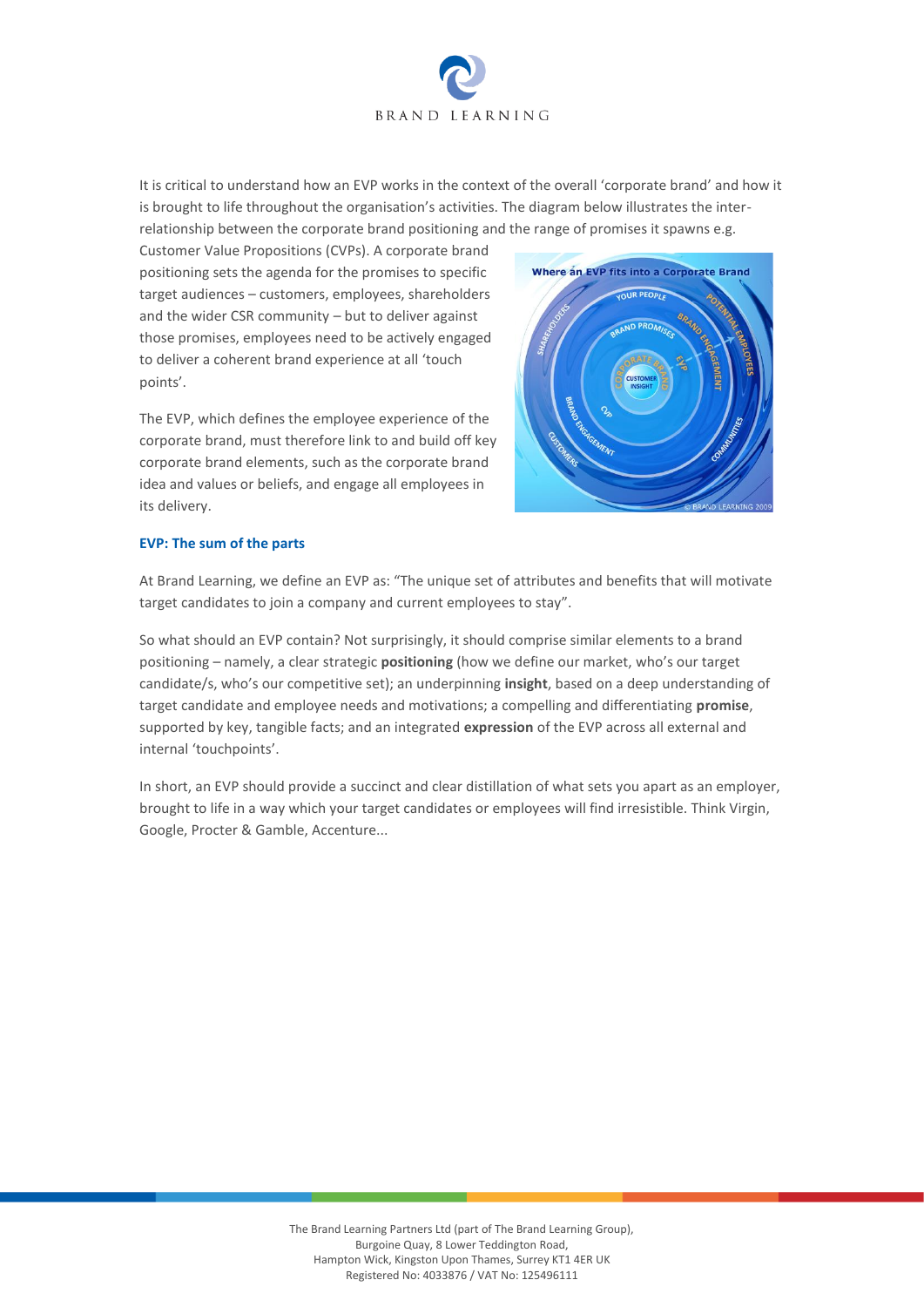

It is critical to understand how an EVP works in the context of the overall 'corporate brand' and how it is brought to life throughout the organisation's activities. The diagram below illustrates the interrelationship between the corporate brand positioning and the range of promises it spawns e.g.

Customer Value Propositions (CVPs). A corporate brand positioning sets the agenda for the promises to specific target audiences – customers, employees, shareholders and the wider CSR community – but to deliver against those promises, employees need to be actively engaged to deliver a coherent brand experience at all 'touch points'.

The EVP, which defines the employee experience of the corporate brand, must therefore link to and build off key corporate brand elements, such as the corporate brand idea and values or beliefs, and engage all employees in its delivery.



## **EVP: The sum of the parts**

At Brand Learning, we define an EVP as: "The unique set of attributes and benefits that will motivate target candidates to join a company and current employees to stay".

So what should an EVP contain? Not surprisingly, it should comprise similar elements to a brand positioning – namely, a clear strategic **positioning** (how we define our market, who's our target candidate/s, who's our competitive set); an underpinning **insight**, based on a deep understanding of target candidate and employee needs and motivations; a compelling and differentiating **promise**, supported by key, tangible facts; and an integrated **expression** of the EVP across all external and internal 'touchpoints'.

In short, an EVP should provide a succinct and clear distillation of what sets you apart as an employer, brought to life in a way which your target candidates or employees will find irresistible. Think Virgin, Google, Procter & Gamble, Accenture...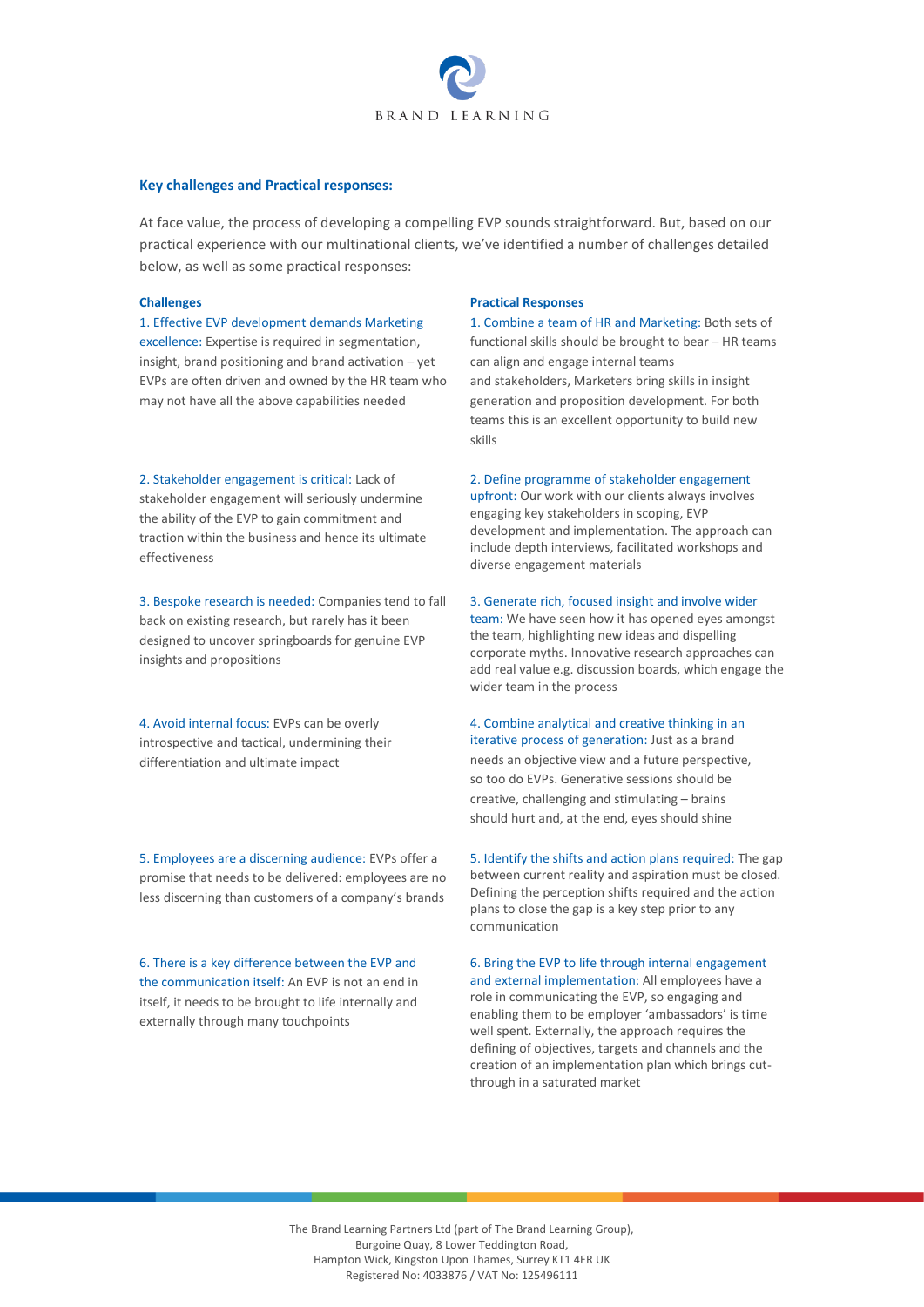

### **Key challenges and Practical responses:**

At face value, the process of developing a compelling EVP sounds straightforward. But, based on our practical experience with our multinational clients, we've identified a number of challenges detailed below, as well as some practical responses:

1. Effective EVP development demands Marketing excellence: Expertise is required in segmentation, insight, brand positioning and brand activation – yet EVPs are often driven and owned by the HR team who may not have all the above capabilities needed

2. Stakeholder engagement is critical: Lack of stakeholder engagement will seriously undermine the ability of the EVP to gain commitment and traction within the business and hence its ultimate effectiveness

3. Bespoke research is needed: Companies tend to fall back on existing research, but rarely has it been designed to uncover springboards for genuine EVP insights and propositions

4. Avoid internal focus: EVPs can be overly introspective and tactical, undermining their differentiation and ultimate impact

5. Employees are a discerning audience: EVPs offer a promise that needs to be delivered: employees are no less discerning than customers of a company's brands

6. There is a key difference between the EVP and the communication itself: An EVP is not an end in itself, it needs to be brought to life internally and externally through many touchpoints

#### **Challenges Practical Responses**

1. Combine a team of HR and Marketing: Both sets of functional skills should be brought to bear – HR teams can align and engage internal teams and stakeholders, Marketers bring skills in insight generation and proposition development. For both teams this is an excellent opportunity to build new skills

2. Define programme of stakeholder engagement upfront: Our work with our clients always involves engaging key stakeholders in scoping, EVP development and implementation. The approach can include depth interviews, facilitated workshops and diverse engagement materials

3. Generate rich, focused insight and involve wider

team: We have seen how it has opened eyes amongst the team, highlighting new ideas and dispelling corporate myths. Innovative research approaches can add real value e.g. discussion boards, which engage the wider team in the process

4. Combine analytical and creative thinking in an iterative process of generation: Just as a brand needs an objective view and a future perspective, so too do EVPs. Generative sessions should be creative, challenging and stimulating – brains should hurt and, at the end, eyes should shine

5. Identify the shifts and action plans required: The gap between current reality and aspiration must be closed. Defining the perception shifts required and the action plans to close the gap is a key step prior to any communication

6. Bring the EVP to life through internal engagement and external implementation: All employees have a role in communicating the EVP, so engaging and enabling them to be employer 'ambassadors' is time well spent. Externally, the approach requires the defining of objectives, targets and channels and the creation of an implementation plan which brings cutthrough in a saturated market

The Brand Learning Partners Ltd (part of The Brand Learning Group), Burgoine Quay, 8 Lower Teddington Road, Hampton Wick, Kingston Upon Thames, Surrey KT1 4ER UK Registered No: 4033876 / VAT No: 125496111